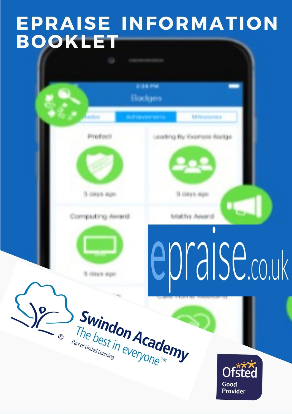# EPRAISE INFORMATION **BOOKLET**

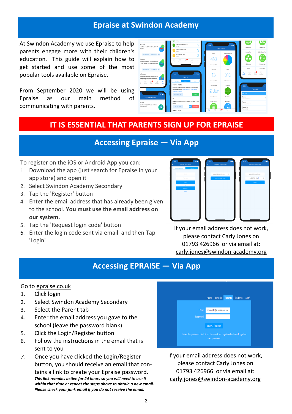#### **Epraise at Swindon Academy**

At Swindon Academy we use Epraise to help parents engage more with their children's education. This guide will explain how to get started and use some of the most popular tools available on Epraise.

From September 2020 we will be using Epraise as our main method of communicating with parents.



### **IT IS ESSENTIAL THAT PARENTS SIGN UP FOR EPRAISE**

# **Accessing Epraise — Via App**

To register on the iOS or Android App you can:

- 1. Download the app (just search for Epraise in your app store) and open it
- 2. Select Swindon Academy Secondary
- 3. Tap the 'Register' button
- 4. Enter the email address that has already been given to the school. **You must use the email address on our system.**
- 5. Tap the 'Request login code' button
- 6. Enter the login code sent via email and then Tap 'Login'



If your email address does not work, please contact Carly Jones on 01793 426966 or via email at: carly.jones@swindon-academy.org

#### **Accessing EPRAISE — Via App**

#### Go to [epraise.co.uk](https://www.epraise.co.uk/)

- 1. Click login
- 2. Select Swindon Academy Secondary
- 3. Select the Parent tab
- 4. Enter the email address you gave to the school (leave the password blank)
- 5. Click the Login/Register button
- 6. Follow the instructions in the email that is sent to you
- *7.* Once you have clicked the Login/Register button, you should receive an email that contains a link to create your Epraise password. *This link remains active for 24 hours so you will need to use it within that time or repeat the steps above to obtain a new email. Please check your junk email if you do not receive the email.*



If your email address does not work, please contact Carly Jones on 01793 426966 or via email at: carly.jones@swindon-academy.org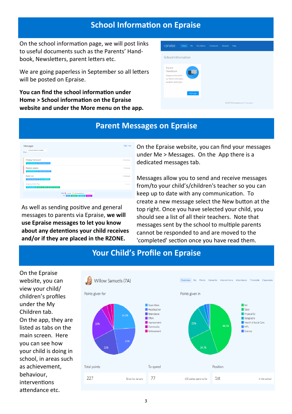#### **School Information on Epraise**

On the school information page, we will post links to useful documents such as the Parents' Handbook, Newsletters, parent letters etc.

We are going paperless in September so all letters will be posted on Epraise.

**You can find the school information under Home > School information on the Epraise website and under the More menu on the app.** 

| epraise<br>Home                                                                                | Me<br>My children | Community | <b>Rewards</b> | Help                                       |
|------------------------------------------------------------------------------------------------|-------------------|-----------|----------------|--------------------------------------------|
| School information                                                                             |                   |           |                |                                            |
| Parent<br>Handbook<br>Please use this to find<br>our Parent Information<br>Guide for 2020-2021 |                   |           |                |                                            |
|                                                                                                | Visit page        |           |                |                                            |
|                                                                                                |                   |           |                | @ 2009-2020 epraise.co.uk   Privacy policy |

#### **Parent Messages on Epraise**

| Messages                                                        |                                          |          | View New       |  |
|-----------------------------------------------------------------|------------------------------------------|----------|----------------|--|
| Active & recently complete<br>$\sim$<br>Show:                   |                                          |          |                |  |
|                                                                 |                                          |          |                |  |
| Missing Homework                                                |                                          |          | 19 seconds ago |  |
| Miss K Burrows   Willow Samuels (7A)                            |                                          |          |                |  |
| <b>Revision session</b><br>Mrs M Anderson   Willow Samuels (7A) |                                          |          | 2 minutes ago  |  |
| <b>Book Cub</b>                                                 |                                          |          | 14 minutes ago |  |
| Willow Samuels (7A) Mrs S Andrews                               |                                          |          |                |  |
| Science Field Trip                                              |                                          |          | 1 hour ago     |  |
| Mrs S Andrews 8A/Ps 7A/Sc 8D/Sc 8C/Sc                           |                                          |          |                |  |
|                                                                 | Status: Unread<br>Not responded to       | Complete |                |  |
|                                                                 | Key:<br>Students Teachers Parents<br>You |          |                |  |

As well as sending positive and general messages to parents via Epraise, **we will use Epraise messages to let you know about any detentions your child receives and/or if they are placed in the RZONE.**

On the Epraise website, you can find your messages under Me > Messages. On the App there is a dedicated messages tab.

Messages allow you to send and receive messages from/to your child's/children's teacher so you can keep up to date with any communication. To create a new message select the New button at the top right. Once you have selected your child, you should see a list of all their teachers. Note that messages sent by the school to multiple parents cannot be responded to and are moved to the 'completed' section once you have read them.



# **Your Child's Profile on Epraise**

On the Epraise website, you can view your child/ children's profiles under the My Children tab. On the app, they are listed as tabs on the main screen. Here you can see how your child is doing in school, in areas such as achievement, behaviour, interventions attendance etc.